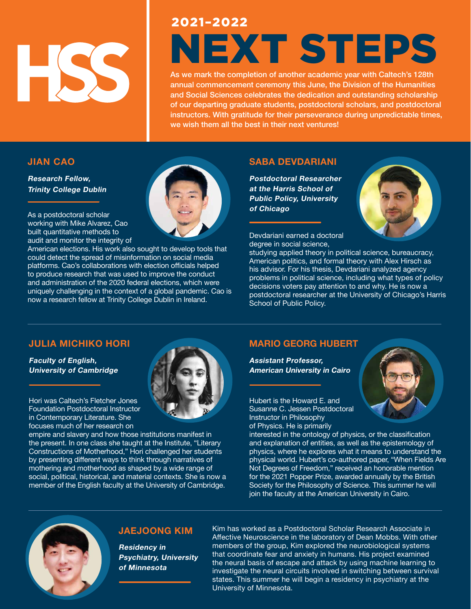

# 2021–2022 NEXT STEPS

As we mark the completion of another academic year with Caltech's 128th annual commencement ceremony this June, the Division of the Humanities and Social Sciences celebrates the dedication and outstanding scholarship of our departing graduate students, postdoctoral scholars, and postdoctoral instructors. With gratitude for their perseverance during unpredictable times, we wish them all the best in their next ventures!

#### **JIAN CAO**

**Research Fellow, Trinity College Dublin**

As a postdoctoral scholar working with Mike Alvarez, Cao built quantitative methods to audit and monitor the integrity of

American elections. His work also sought to develop tools that could detect the spread of misinformation on social media platforms. Cao's collaborations with election officials helped to produce research that was used to improve the conduct and administration of the 2020 federal elections, which were uniquely challenging in the context of a global pandemic. Cao is now a research fellow at Trinity College Dublin in Ireland.

#### **SABA DEVDARIANI**

**Postdoctoral Researcher at the Harris School of Public Policy, University of Chicago**

Devdariani earned a doctoral degree in social science,



studying applied theory in political science, bureaucracy, American politics, and formal theory with Alex Hirsch as his advisor. For his thesis, Devdariani analyzed agency problems in political science, including what types of policy decisions voters pay attention to and why. He is now a postdoctoral researcher at the University of Chicago's Harris School of Public Policy.

#### **JULIA MICHIKO HORI**

**Faculty of English, University of Cambridge**

Hori was Caltech's Fletcher Jones Foundation Postdoctoral Instructor in Contemporary Literature. She focuses much of her research on

empire and slavery and how those institutions manifest in the present. In one class she taught at the Institute, "Literary Constructions of Motherhood," Hori challenged her students by presenting different ways to think through narratives of mothering and motherhood as shaped by a wide range of social, political, historical, and material contexts. She is now a member of the English faculty at the University of Cambridge.

## **MARIO GEORG HUBERT**

**Assistant Professor, American University in Cairo**

Hubert is the Howard E. and Susanne C. Jessen Postdoctoral Instructor in Philosophy of Physics. He is primarily

interested in the ontology of physics, or the classification and explanation of entities, as well as the epistemology of physics, where he explores what it means to understand the physical world. Hubert's co-authored paper, "When Fields Are Not Degrees of Freedom," received an honorable mention for the 2021 Popper Prize, awarded annually by the British Society for the Philosophy of Science. This summer he will join the faculty at the American University in Cairo.



#### **JAEJOONG KIM**

**Residency in Psychiatry, University of Minnesota**

Kim has worked as a Postdoctoral Scholar Research Associate in Affective Neuroscience in the laboratory of Dean Mobbs. With other members of the group, Kim explored the neurobiological systems that coordinate fear and anxiety in humans. His project examined the neural basis of escape and attack by using machine learning to investigate the neural circuits involved in switching between survival states. This summer he will begin a residency in psychiatry at the University of Minnesota.